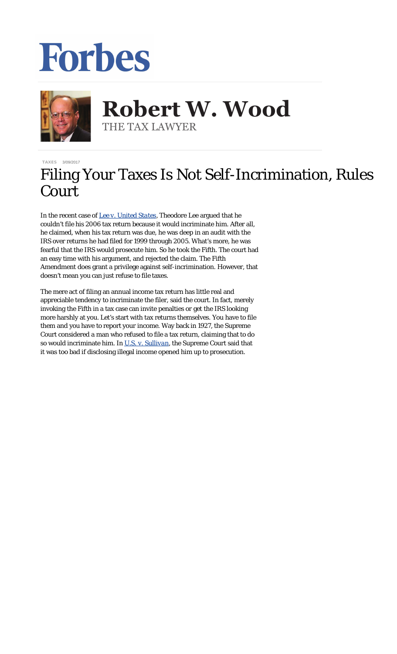## Forbes



**Robert W. Wood Robert W. Wood** THE TAX LAWYER THE TAX LAWYER

[TAXES](https://www.forbes.com/taxes) 3/09/2017

## Filing Your Taxes Is Not Self-Incrimination, Rules Court

In the recent case of *[Lee v. United States](http://law.justia.com/cases/federal/district-courts/nevada/nvdce/2:2014cv00606/100915/72/)*, Theodore Lee argued that he couldn't file his 2006 tax return because it would incriminate him. After all, he claimed, when his tax return was due, he was deep in an audit with the IRS over returns he had filed for 1999 through 2005. What's more, he was fearful that the IRS would prosecute him. So he took the Fifth. The court had an easy time with his argument, and rejected the claim. The Fifth Amendment does grant a privilege against self-incrimination. However, that doesn't mean you can just refuse to file taxes.

The mere act of filing an annual income tax return has little real and appreciable tendency to incriminate the filer, said the court. In fact, merely invoking the Fifth in a tax case can invite penalties or get the IRS looking more harshly at you. Let's start with tax returns themselves. You have to file them and you have to report your income. Way back in 1927, the Supreme Court considered a man who refused to file a tax return, claiming that to do so would incriminate him. In *[U.S. v. Sullivan](https://supreme.justia.com/cases/federal/us/274/259/case.html)*, the Supreme Court said that it was too bad if disclosing illegal income opened him up to prosecution.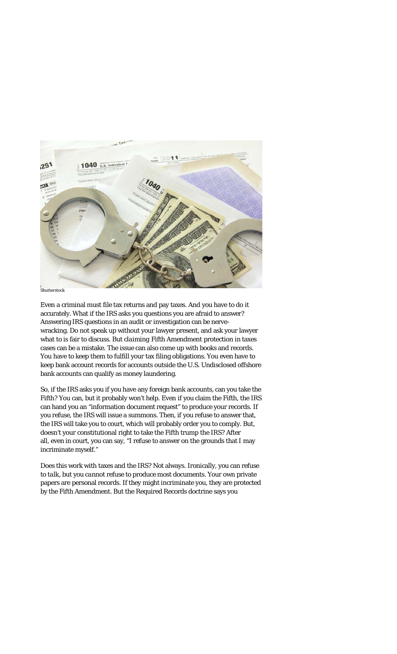

*Shutterstock*

Even a criminal must file tax returns and pay taxes. And you have to do it accurately. What if the IRS asks you questions you are afraid to answer? Answering IRS questions in an audit or investigation can be nervewracking. Do not speak up without your lawyer present, and ask your lawyer what to is fair to discuss. But *claiming* Fifth Amendment protection in taxes cases can be a mistake. The issue can also come up with books and records. You have to keep them to fulfill your tax filing obligations. You even have to keep bank account records for accounts outside the U.S. Undisclosed offshore bank accounts can qualify as money laundering.

So, if the IRS asks you if you have any foreign bank accounts, can you take the Fifth? You can, but it probably won't help. Even if you claim the Fifth, the IRS can hand you an "information document request" to produce your records. If you refuse, the IRS will issue a summons. Then, if you refuse to answer that, the IRS will take you to court, which will probably order you to comply. But, doesn't your constitutional right to take the Fifth trump the IRS? After all, even in court, you can say, "I refuse to answer on the grounds that I may incriminate myself."

Does this work with taxes and the IRS? Not always. Ironically, you can refuse to *talk*, but you *cannot* refuse to produce most documents. Your own private papers are personal records. If *they* might incriminate you, they are protected by the Fifth Amendment. But the Required Records doctrine says you